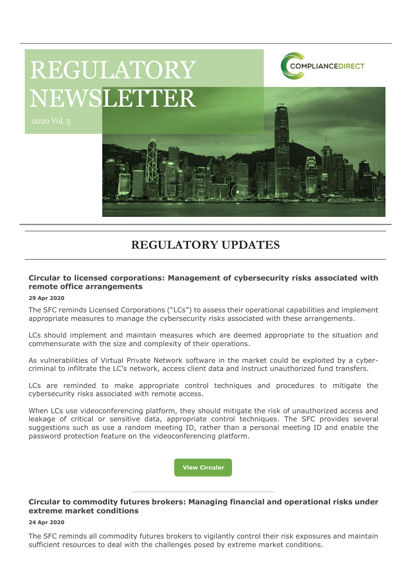

# REGULATORY NEWSLETTER

# **REGULATORY UPDATES**

# **Circular to licensed corporations: Management of cybersecurity risks associated with remote office arrangements**

### **29 Apr 2020**

The SFC reminds Licensed Corporations ("LCs") to assess their operational capabilities and implement appropriate measures to manage the cybersecurity risks associated with these arrangements.

LCs should implement and maintain measures which are deemed appropriate to the situation and commensurate with the size and complexity of their operations.

As vulnerabilities of Virtual Private Network software in the market could be exploited by a cybercriminal to infiltrate the LC's network, access client data and instruct unauthorized fund transfers.

LCs are reminded to make appropriate control techniques and procedures to mitigate the cybersecurity risks associated with remote access.

When LCs use videoconferencing platform, they should mitigate the risk of unauthorized access and leakage of critical or sensitive data, appropriate control techniques. The SFC provides several suggestions such as use a random meeting ID, rather than a personal meeting ID and enable the password protection feature on the videoconferencing platform.

**[View Circular](https://www.sfc.hk/edistributionWeb/gateway/EN/circular/intermediaries/supervision/doc?refNo=20EC37)**

### **Circular to commodity futures brokers: Managing financial and operational risks under extreme market conditions**

### **24 Apr 2020**

The SFC reminds all commodity futures brokers to vigilantly control their risk exposures and maintain sufficient resources to deal with the challenges posed by extreme market conditions.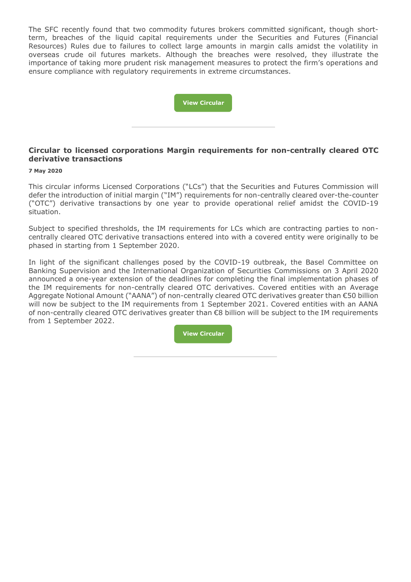The SFC recently found that two commodity futures brokers committed significant, though shortterm, breaches of the liquid capital requirements under the Securities and Futures (Financial Resources) Rules due to failures to collect large amounts in margin calls amidst the volatility in overseas crude oil futures markets. Although the breaches were resolved, they illustrate the importance of taking more prudent risk management measures to protect the firm's operations and ensure compliance with regulatory requirements in extreme circumstances.



# **Circular to licensed corporations Margin requirements for non-centrally cleared OTC derivative transactions**

### **7 May 2020**

This circular informs Licensed Corporations ("LCs") that the Securities and Futures Commission will defer the introduction of initial margin ("IM") requirements for non-centrally cleared over-the-counter ("OTC") derivative transactions by one year to provide operational relief amidst the COVID-19 situation.

Subject to specified thresholds, the IM requirements for LCs which are contracting parties to noncentrally cleared OTC derivative transactions entered into with a covered entity were originally to be phased in starting from 1 September 2020.

In light of the significant challenges posed by the COVID-19 outbreak, the Basel Committee on Banking Supervision and the International Organization of Securities Commissions on 3 April 2020 announced a one-year extension of the deadlines for completing the final implementation phases of the IM requirements for non-centrally cleared OTC derivatives. Covered entities with an Average Aggregate Notional Amount ("AANA") of non-centrally cleared OTC derivatives greater than €50 billion will now be subject to the IM requirements from 1 September 2021. Covered entities with an AANA of non-centrally cleared OTC derivatives greater than €8 billion will be subject to the IM requirements from 1 September 2022.

**View [Circular](https://www.sfc.hk/edistributionWeb/gateway/EN/circular/intermediaries/supervision/doc?refNo=20EC41)**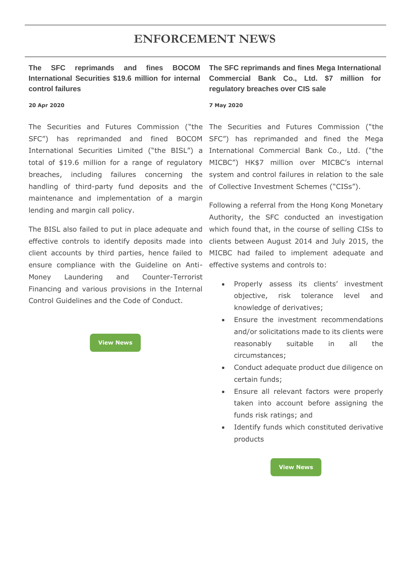# **ENFORCEMENT NEWS**

# **The SFC reprimands and fines BOCOM International Securities \$19.6 million for internal control failures**

#### **20 Apr 2020**

The Securities and Futures Commission ("the The Securities and Futures Commission ("the handling of third-party fund deposits and the of Collective Investment Schemes ("CISs"). maintenance and implementation of a margin lending and margin call policy.

ensure compliance with the Guideline on Anti-effective systems and controls to: Money Laundering and Counter-Terrorist Financing and various provisions in the Internal Control Guidelines and the Code of Conduct.

> **[View News](https://www.sfc.hk/edistributionWeb/gateway/EN/news-and-announcements/news/enforcement-news/doc?refNo=20PR36) NNE[WNew](Whitestone)**

**The SFC reprimands and fines Mega International Commercial Bank Co., Ltd. \$7 million for regulatory breaches over CIS sale**

#### **7 May 2020**

SFC") has reprimanded and fined BOCOM SFC") has reprimanded and fined the Mega International Securities Limited ("the BISL") a International Commercial Bank Co., Ltd. ("the total of \$19.6 million for a range of regulatory MICBC") HK\$7 million over MICBC's internal breaches, including failures concerning the system and control failures in relation to the sale

The BISL also failed to put in place adequate and which found that, in the course of selling CISs to effective controls to identify deposits made into clients between August 2014 and July 2015, the client accounts by third parties, hence failed to MICBC had failed to implement adequate and Following a referral from the Hong Kong Monetary Authority, the SFC conducted an investigation

- Properly assess its clients' investment objective, risk tolerance level and knowledge of derivatives;
- Ensure the investment recommendations and/or solicitations made to its clients were reasonably suitable in all the circumstances;
- Conduct adequate product due diligence on certain funds;
- Ensure all relevant factors were properly taken into account before assigning the funds risk ratings; and
- Identify funds which constituted derivative products

**[View News](https://www.sfc.hk/edistributionWeb/gateway/EN/news-and-announcements/news/doc?refNo=20PR42)**